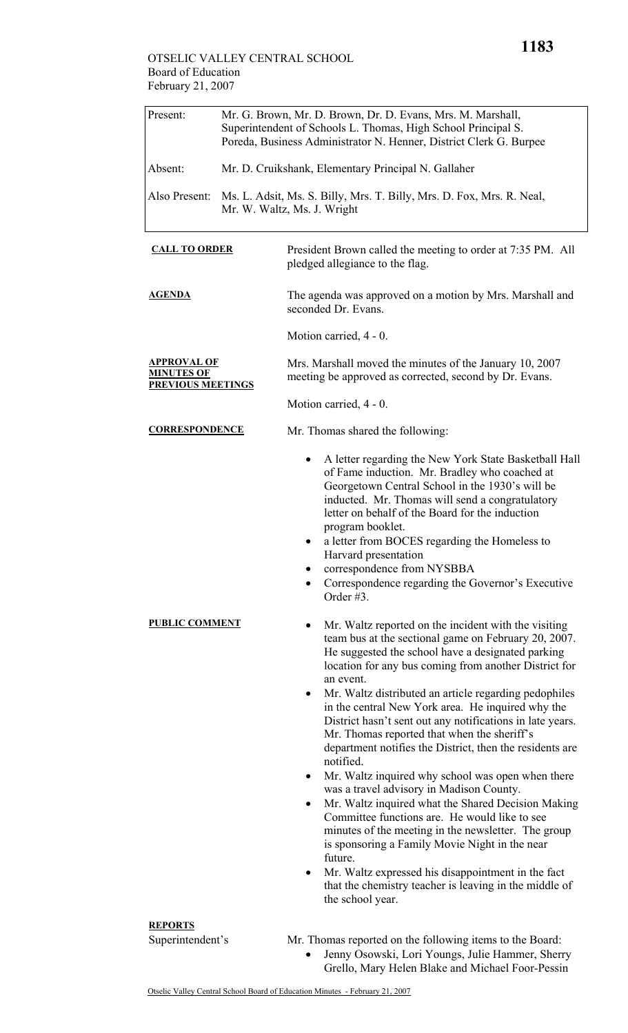## OTSELIC VALLEY CENTRAL SCHOOL Board of Education February 21, 2007

| Present:                                                            | Mr. G. Brown, Mr. D. Brown, Dr. D. Evans, Mrs. M. Marshall,<br>Superintendent of Schools L. Thomas, High School Principal S.<br>Poreda, Business Administrator N. Henner, District Clerk G. Burpee |                                                                                                                                                                                                                                                                                                                                                                                                                                                                                                                                                                                                                                                                                                                                                                                                                                                                                                                                                                                                                                                                                                                                                                                                                                                                                                                                                                                                                                                                                                      |  |  |
|---------------------------------------------------------------------|----------------------------------------------------------------------------------------------------------------------------------------------------------------------------------------------------|------------------------------------------------------------------------------------------------------------------------------------------------------------------------------------------------------------------------------------------------------------------------------------------------------------------------------------------------------------------------------------------------------------------------------------------------------------------------------------------------------------------------------------------------------------------------------------------------------------------------------------------------------------------------------------------------------------------------------------------------------------------------------------------------------------------------------------------------------------------------------------------------------------------------------------------------------------------------------------------------------------------------------------------------------------------------------------------------------------------------------------------------------------------------------------------------------------------------------------------------------------------------------------------------------------------------------------------------------------------------------------------------------------------------------------------------------------------------------------------------------|--|--|
| Absent:                                                             |                                                                                                                                                                                                    | Mr. D. Cruikshank, Elementary Principal N. Gallaher                                                                                                                                                                                                                                                                                                                                                                                                                                                                                                                                                                                                                                                                                                                                                                                                                                                                                                                                                                                                                                                                                                                                                                                                                                                                                                                                                                                                                                                  |  |  |
| Also Present:                                                       |                                                                                                                                                                                                    | Ms. L. Adsit, Ms. S. Billy, Mrs. T. Billy, Mrs. D. Fox, Mrs. R. Neal,<br>Mr. W. Waltz, Ms. J. Wright                                                                                                                                                                                                                                                                                                                                                                                                                                                                                                                                                                                                                                                                                                                                                                                                                                                                                                                                                                                                                                                                                                                                                                                                                                                                                                                                                                                                 |  |  |
| <b>CALL TO ORDER</b>                                                |                                                                                                                                                                                                    | President Brown called the meeting to order at 7:35 PM. All<br>pledged allegiance to the flag.                                                                                                                                                                                                                                                                                                                                                                                                                                                                                                                                                                                                                                                                                                                                                                                                                                                                                                                                                                                                                                                                                                                                                                                                                                                                                                                                                                                                       |  |  |
| <b>AGENDA</b>                                                       |                                                                                                                                                                                                    | The agenda was approved on a motion by Mrs. Marshall and<br>seconded Dr. Evans.                                                                                                                                                                                                                                                                                                                                                                                                                                                                                                                                                                                                                                                                                                                                                                                                                                                                                                                                                                                                                                                                                                                                                                                                                                                                                                                                                                                                                      |  |  |
|                                                                     |                                                                                                                                                                                                    | Motion carried, 4 - 0.                                                                                                                                                                                                                                                                                                                                                                                                                                                                                                                                                                                                                                                                                                                                                                                                                                                                                                                                                                                                                                                                                                                                                                                                                                                                                                                                                                                                                                                                               |  |  |
| <b>APPROVAL OF</b><br><u>MINUTES OF</u><br><b>PREVIOUS MEETINGS</b> |                                                                                                                                                                                                    | Mrs. Marshall moved the minutes of the January 10, 2007<br>meeting be approved as corrected, second by Dr. Evans.                                                                                                                                                                                                                                                                                                                                                                                                                                                                                                                                                                                                                                                                                                                                                                                                                                                                                                                                                                                                                                                                                                                                                                                                                                                                                                                                                                                    |  |  |
|                                                                     |                                                                                                                                                                                                    | Motion carried, 4 - 0.                                                                                                                                                                                                                                                                                                                                                                                                                                                                                                                                                                                                                                                                                                                                                                                                                                                                                                                                                                                                                                                                                                                                                                                                                                                                                                                                                                                                                                                                               |  |  |
| <b>CORRESPONDENCE</b>                                               |                                                                                                                                                                                                    | Mr. Thomas shared the following:                                                                                                                                                                                                                                                                                                                                                                                                                                                                                                                                                                                                                                                                                                                                                                                                                                                                                                                                                                                                                                                                                                                                                                                                                                                                                                                                                                                                                                                                     |  |  |
| <b>PUBLIC COMMENT</b>                                               |                                                                                                                                                                                                    | A letter regarding the New York State Basketball Hall<br>of Fame induction. Mr. Bradley who coached at<br>Georgetown Central School in the 1930's will be<br>inducted. Mr. Thomas will send a congratulatory<br>letter on behalf of the Board for the induction<br>program booklet.<br>a letter from BOCES regarding the Homeless to<br>Harvard presentation<br>correspondence from NYSBBA<br>Correspondence regarding the Governor's Executive<br>Order $#3$ .<br>Mr. Waltz reported on the incident with the visiting<br>team bus at the sectional game on February 20, 2007.<br>He suggested the school have a designated parking<br>location for any bus coming from another District for<br>an event.<br>Mr. Waltz distributed an article regarding pedophiles<br>٠<br>in the central New York area. He inquired why the<br>District hasn't sent out any notifications in late years.<br>Mr. Thomas reported that when the sheriff's<br>department notifies the District, then the residents are<br>notified.<br>Mr. Waltz inquired why school was open when there<br>٠<br>was a travel advisory in Madison County.<br>Mr. Waltz inquired what the Shared Decision Making<br>$\bullet$<br>Committee functions are. He would like to see<br>minutes of the meeting in the newsletter. The group<br>is sponsoring a Family Movie Night in the near<br>future.<br>Mr. Waltz expressed his disappointment in the fact<br>that the chemistry teacher is leaving in the middle of<br>the school year. |  |  |
| <b>REPORTS</b><br>Superintendent's                                  |                                                                                                                                                                                                    | Mr. Thomas reported on the following items to the Board:                                                                                                                                                                                                                                                                                                                                                                                                                                                                                                                                                                                                                                                                                                                                                                                                                                                                                                                                                                                                                                                                                                                                                                                                                                                                                                                                                                                                                                             |  |  |
|                                                                     |                                                                                                                                                                                                    | Jenny Osowski, Lori Youngs, Julie Hammer, Sherry<br>$\bullet$<br>Grello, Mary Helen Blake and Michael Foor-Pessin                                                                                                                                                                                                                                                                                                                                                                                                                                                                                                                                                                                                                                                                                                                                                                                                                                                                                                                                                                                                                                                                                                                                                                                                                                                                                                                                                                                    |  |  |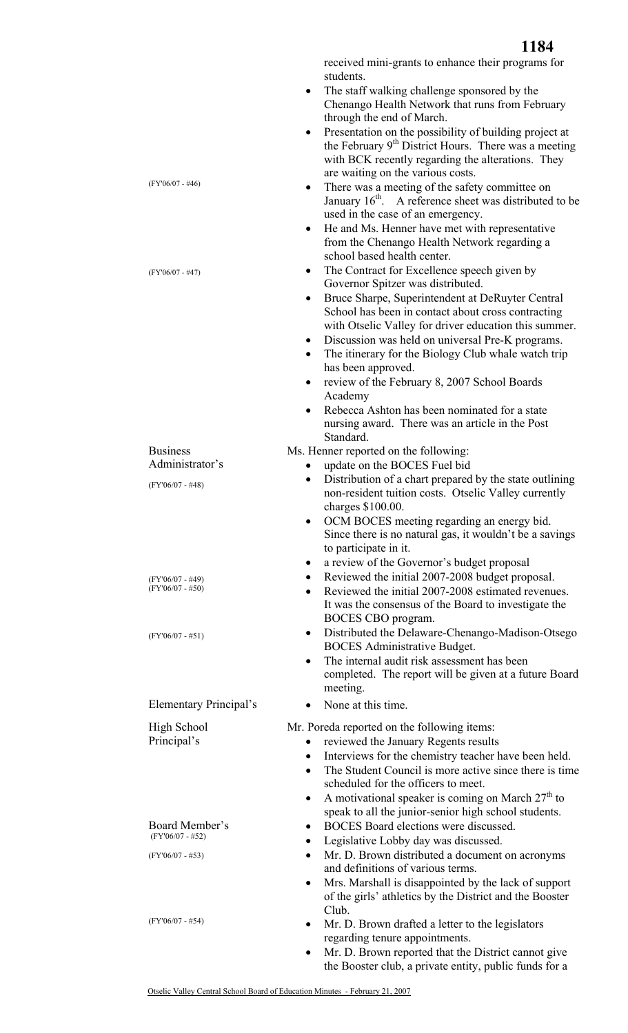received mini-grants to enhance their programs for students.

- The staff walking challenge sponsored by the Chenango Health Network that runs from February through the end of March.
- Presentation on the possibility of building project at the February 9<sup>th</sup> District Hours. There was a meeting with BCK recently regarding the alterations. They are waiting on the various costs.
- There was a meeting of the safety committee on January  $16<sup>th</sup>$ . A reference sheet was distributed to be used in the case of an emergency.
- He and Ms. Henner have met with representative from the Chenango Health Network regarding a school based health center.
- The Contract for Excellence speech given by Governor Spitzer was distributed.
- Bruce Sharpe, Superintendent at DeRuyter Central School has been in contact about cross contracting with Otselic Valley for driver education this summer.
- Discussion was held on universal Pre-K programs.
- The itinerary for the Biology Club whale watch trip has been approved.
- review of the February 8, 2007 School Boards Academy
- Rebecca Ashton has been nominated for a state nursing award. There was an article in the Post Standard.
- Ms. Henner reported on the following:

(FY'06/07 - #46)

(FY'06/07 - #47)

Business

Administrator's

(FY'06/07 - #48)

(FY'06/07 - #49)  $(FY'06/07 - #50)$ 

(FY'06/07 - #51)

High School Principal's

Board Member's (FY'06/07 - #52) (FY'06/07 - #53)

(FY'06/07 - #54)

- update on the BOCES Fuel bid
- Distribution of a chart prepared by the state outlining non-resident tuition costs. Otselic Valley currently charges \$100.00.
- OCM BOCES meeting regarding an energy bid. Since there is no natural gas, it wouldn't be a savings to participate in it.
- a review of the Governor's budget proposal
- Reviewed the initial 2007-2008 budget proposal.
- Reviewed the initial 2007-2008 estimated revenues. It was the consensus of the Board to investigate the BOCES CBO program.
- Distributed the Delaware-Chenango-Madison-Otsego BOCES Administrative Budget.
- The internal audit risk assessment has been completed. The report will be given at a future Board meeting.
- Elementary Principal's None at this time.

Mr. Poreda reported on the following items:

- reviewed the January Regents results
- Interviews for the chemistry teacher have been held.
- The Student Council is more active since there is time scheduled for the officers to meet.
- A motivational speaker is coming on March  $27<sup>th</sup>$  to speak to all the junior-senior high school students.
- BOCES Board elections were discussed.
- Legislative Lobby day was discussed.
- Mr. D. Brown distributed a document on acronyms and definitions of various terms.
- Mrs. Marshall is disappointed by the lack of support of the girls' athletics by the District and the Booster Club.
- Mr. D. Brown drafted a letter to the legislators regarding tenure appointments.
- Mr. D. Brown reported that the District cannot give the Booster club, a private entity, public funds for a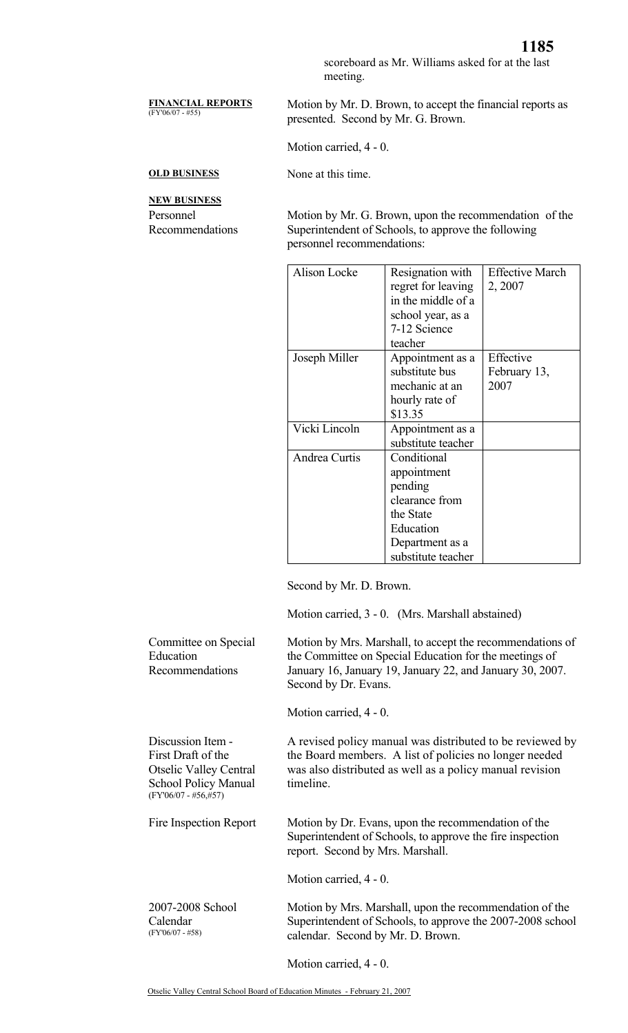scoreboard as Mr. Williams asked for at the last meeting.

## **FINANCIAL REPORTS**

Motion by Mr. D. Brown, to accept the financial reports as presented. Second by Mr. G. Brown.

Motion carried, 4 - 0.

**OLD BUSINESS** None at this time.

**NEW BUSINESS** Personnel Recommendations

Motion by Mr. G. Brown, upon the recommendation of the Superintendent of Schools, to approve the following personnel recommendations:

| Alison Locke         | Resignation with<br>regret for leaving<br>in the middle of a<br>school year, as a<br>7-12 Science<br>teacher               | <b>Effective March</b><br>2, 2007 |
|----------------------|----------------------------------------------------------------------------------------------------------------------------|-----------------------------------|
| Joseph Miller        | Appointment as a<br>substitute bus<br>mechanic at an<br>hourly rate of<br>\$13.35                                          | Effective<br>February 13,<br>2007 |
| Vicki Lincoln        | Appointment as a<br>substitute teacher                                                                                     |                                   |
| <b>Andrea Curtis</b> | Conditional<br>appointment<br>pending<br>clearance from<br>the State<br>Education<br>Department as a<br>substitute teacher |                                   |

Second by Mr. D. Brown.

Motion carried, 3 - 0. (Mrs. Marshall abstained)

Committee on Special Education Recommendations Motion by Mrs. Marshall, to accept the recommendations of the Committee on Special Education for the meetings of January 16, January 19, January 22, and January 30, 2007. Second by Dr. Evans. Motion carried, 4 - 0. Discussion Item - First Draft of the Otselic Valley Central School Policy Manual (FY'06/07 - #56,#57) A revised policy manual was distributed to be reviewed by the Board members. A list of policies no longer needed was also distributed as well as a policy manual revision timeline. Fire Inspection Report Motion by Dr. Evans, upon the recommendation of the Superintendent of Schools, to approve the fire inspection report. Second by Mrs. Marshall. Motion carried, 4 - 0. 2007-2008 School Calendar (FY'06/07 - #58) Motion by Mrs. Marshall, upon the recommendation of the Superintendent of Schools, to approve the 2007-2008 school calendar. Second by Mr. D. Brown.

Motion carried, 4 - 0.